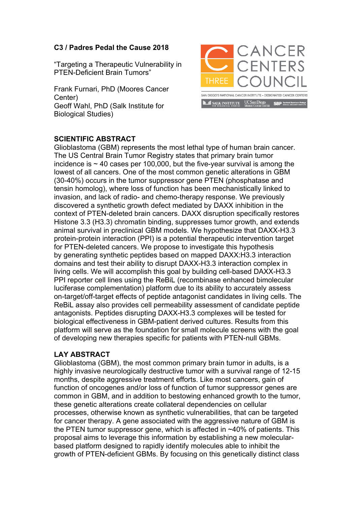## **C3 / Padres Pedal the Cause 2018**

"Targeting a Therapeutic Vulnerability in PTEN-Deficient Brain Tumors"

Frank Furnari, PhD (Moores Cancer Center) Geoff Wahl, PhD (Salk Institute for Biological Studies)



## **SCIENTIFIC ABSTRACT**

Glioblastoma (GBM) represents the most lethal type of human brain cancer. The US Central Brain Tumor Registry states that primary brain tumor incidence is  $\sim$  40 cases per 100,000, but the five-year survival is among the lowest of all cancers. One of the most common genetic alterations in GBM (30-40%) occurs in the tumor suppressor gene PTEN (phosphatase and tensin homolog), where loss of function has been mechanistically linked to invasion, and lack of radio- and chemo-therapy response. We previously discovered a synthetic growth defect mediated by DAXX inhibition in the context of PTEN-deleted brain cancers. DAXX disruption specifically restores Histone 3.3 (H3.3) chromatin binding, suppresses tumor growth, and extends animal survival in preclinical GBM models. We hypothesize that DAXX-H3.3 protein-protein interaction (PPI) is a potential therapeutic intervention target for PTEN-deleted cancers. We propose to investigate this hypothesis by generating synthetic peptides based on mapped DAXX:H3.3 interaction domains and test their ability to disrupt DAXX-H3.3 interaction complex in living cells. We will accomplish this goal by building cell-based DAXX-H3.3 PPI reporter cell lines using the ReBiL (recombinase enhanced bimolecular luciferase complementation) platform due to its ability to accurately assess on-target/off-target effects of peptide antagonist candidates in living cells. The ReBiL assay also provides cell permeability assessment of candidate peptide antagonists. Peptides disrupting DAXX-H3.3 complexes will be tested for biological effectiveness in GBM-patient derived cultures. Results from this platform will serve as the foundation for small molecule screens with the goal of developing new therapies specific for patients with PTEN-null GBMs.

## **LAY ABSTRACT**

Glioblastoma (GBM), the most common primary brain tumor in adults, is a highly invasive neurologically destructive tumor with a survival range of 12-15 months, despite aggressive treatment efforts. Like most cancers, gain of function of oncogenes and/or loss of function of tumor suppressor genes are common in GBM, and in addition to bestowing enhanced growth to the tumor, these genetic alterations create collateral dependencies on cellular processes, otherwise known as synthetic vulnerabilities, that can be targeted for cancer therapy. A gene associated with the aggressive nature of GBM is the PTEN tumor suppressor gene, which is affected in ~40% of patients. This proposal aims to leverage this information by establishing a new molecularbased platform designed to rapidly identify molecules able to inhibit the growth of PTEN-deficient GBMs. By focusing on this genetically distinct class